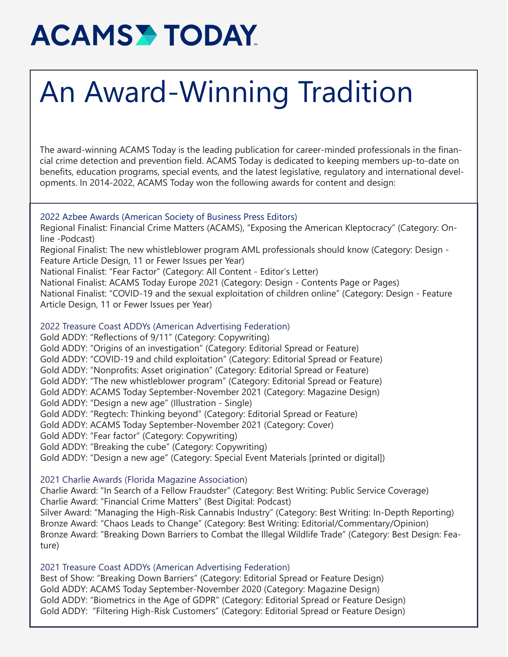# **ACAMSY TODAY**

# An Award-Winning Tradition

The award-winning ACAMS Today is the leading publication for career-minded professionals in the financial crime detection and prevention field. ACAMS Today is dedicated to keeping members up-to-date on benefits, education programs, special events, and the latest legislative, regulatory and international developments. In 2014-2022, ACAMS Today won the following awards for content and design:

## 2022 Azbee Awards (American Society of Business Press Editors)

Regional Finalist: Financial Crime Matters (ACAMS), "Exposing the American Kleptocracy" (Category: Online -Podcast)

Regional Finalist: The new whistleblower program AML professionals should know (Category: Design - Feature Article Design, 11 or Fewer Issues per Year)

National Finalist: "Fear Factor" (Category: All Content - Editor's Letter)

National Finalist: ACAMS Today Europe 2021 (Category: Design - Contents Page or Pages)

National Finalist: "COVID-19 and the sexual exploitation of children online" (Category: Design - Feature Article Design, 11 or Fewer Issues per Year)

# 2022 Treasure Coast ADDYs (American Advertising Federation)

Gold ADDY: "Reflections of 9/11" (Category: Copywriting)

Gold ADDY: "Origins of an investigation" (Category: Editorial Spread or Feature)

Gold ADDY: "COVID-19 and child exploitation" (Category: Editorial Spread or Feature)

Gold ADDY: "Nonprofits: Asset origination" (Category: Editorial Spread or Feature)

Gold ADDY: "The new whistleblower program" (Category: Editorial Spread or Feature)

- Gold ADDY: ACAMS Today September-November 2021 (Category: Magazine Design)
- Gold ADDY: "Design a new age" (Illustration Single)

Gold ADDY: "Regtech: Thinking beyond" (Category: Editorial Spread or Feature)

Gold ADDY: ACAMS Today September-November 2021 (Category: Cover)

Gold ADDY: "Fear factor" (Category: Copywriting)

Gold ADDY: "Breaking the cube" (Category: Copywriting)

Gold ADDY: "Design a new age" (Category: Special Event Materials [printed or digital])

# 2021 Charlie Awards (Florida Magazine Association)

Charlie Award: "In Search of a Fellow Fraudster" (Category: Best Writing: Public Service Coverage) Charlie Award: "Financial Crime Matters" (Best Digital: Podcast)

Silver Award: "Managing the High-Risk Cannabis Industry" (Category: Best Writing: In-Depth Reporting) Bronze Award: "Chaos Leads to Change" (Category: Best Writing: Editorial/Commentary/Opinion) Bronze Award: "Breaking Down Barriers to Combat the Illegal Wildlife Trade" (Category: Best Design: Feature)

# 2021 Treasure Coast ADDYs (American Advertising Federation)

Best of Show: "Breaking Down Barriers" (Category: Editorial Spread or Feature Design) Gold ADDY: ACAMS Today September-November 2020 (Category: Magazine Design) Gold ADDY: "Biometrics in the Age of GDPR" (Category: Editorial Spread or Feature Design) Gold ADDY: "Filtering High-Risk Customers" (Category: Editorial Spread or Feature Design)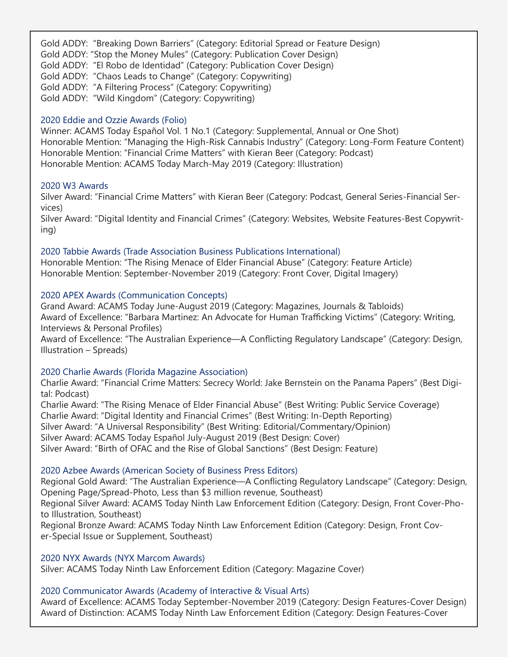Gold ADDY: "Breaking Down Barriers" (Category: Editorial Spread or Feature Design) Gold ADDY: "Stop the Money Mules" (Category: Publication Cover Design) Gold ADDY: "El Robo de Identidad" (Category: Publication Cover Design) Gold ADDY: "Chaos Leads to Change" (Category: Copywriting) Gold ADDY: "A Filtering Process" (Category: Copywriting) Gold ADDY: "Wild Kingdom" (Category: Copywriting)

## 2020 Eddie and Ozzie Awards (Folio)

Winner: ACAMS Today Español Vol. 1 No.1 (Category: Supplemental, Annual or One Shot) Honorable Mention: "Managing the High-Risk Cannabis Industry" (Category: Long-Form Feature Content) Honorable Mention: "Financial Crime Matters" with Kieran Beer (Category: Podcast) Honorable Mention: ACAMS Today March-May 2019 (Category: Illustration)

## 2020 W3 Awards

Silver Award: "Financial Crime Matters" with Kieran Beer (Category: Podcast, General Series-Financial Services)

Silver Award: "Digital Identity and Financial Crimes" (Category: Websites, Website Features-Best Copywriting)

# 2020 Tabbie Awards (Trade Association Business Publications International)

Honorable Mention: "The Rising Menace of Elder Financial Abuse" (Category: Feature Article) Honorable Mention: September-November 2019 (Category: Front Cover, Digital Imagery)

# 2020 APEX Awards (Communication Concepts)

Grand Award: ACAMS Today June-August 2019 (Category: Magazines, Journals & Tabloids) Award of Excellence: "Barbara Martinez: An Advocate for Human Trafficking Victims" (Category: Writing, Interviews & Personal Profiles)

Award of Excellence: "The Australian Experience—A Conflicting Regulatory Landscape" (Category: Design, Illustration – Spreads)

## 2020 Charlie Awards (Florida Magazine Association)

Charlie Award: "Financial Crime Matters: Secrecy World: Jake Bernstein on the Panama Papers" (Best Digital: Podcast)

Charlie Award: "The Rising Menace of Elder Financial Abuse" (Best Writing: Public Service Coverage) Charlie Award: "Digital Identity and Financial Crimes" (Best Writing: In-Depth Reporting) Silver Award: "A Universal Responsibility" (Best Writing: Editorial/Commentary/Opinion) Silver Award: ACAMS Today Español July-August 2019 (Best Design: Cover) Silver Award: "Birth of OFAC and the Rise of Global Sanctions" (Best Design: Feature)

# 2020 Azbee Awards (American Society of Business Press Editors)

Regional Gold Award: "The Australian Experience—A Conflicting Regulatory Landscape" (Category: Design, Opening Page/Spread-Photo, Less than \$3 million revenue, Southeast)

Regional Silver Award: ACAMS Today Ninth Law Enforcement Edition (Category: Design, Front Cover-Photo Illustration, Southeast)

Regional Bronze Award: ACAMS Today Ninth Law Enforcement Edition (Category: Design, Front Cover-Special Issue or Supplement, Southeast)

## 2020 NYX Awards (NYX Marcom Awards)

Silver: ACAMS Today Ninth Law Enforcement Edition (Category: Magazine Cover)

# 2020 Communicator Awards (Academy of Interactive & Visual Arts)

Award of Excellence: ACAMS Today September-November 2019 (Category: Design Features-Cover Design) Award of Distinction: ACAMS Today Ninth Law Enforcement Edition (Category: Design Features-Cover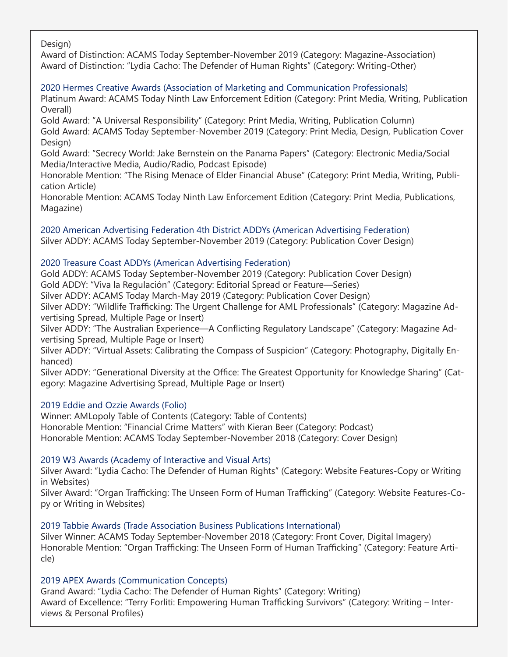Design)

Award of Distinction: ACAMS Today September-November 2019 (Category: Magazine-Association) Award of Distinction: "Lydia Cacho: The Defender of Human Rights" (Category: Writing-Other)

# 2020 Hermes Creative Awards (Association of Marketing and Communication Professionals)

Platinum Award: ACAMS Today Ninth Law Enforcement Edition (Category: Print Media, Writing, Publication Overall)

Gold Award: "A Universal Responsibility" (Category: Print Media, Writing, Publication Column) Gold Award: ACAMS Today September-November 2019 (Category: Print Media, Design, Publication Cover Design)

Gold Award: "Secrecy World: Jake Bernstein on the Panama Papers" (Category: Electronic Media/Social Media/Interactive Media, Audio/Radio, Podcast Episode)

Honorable Mention: "The Rising Menace of Elder Financial Abuse" (Category: Print Media, Writing, Publication Article)

Honorable Mention: ACAMS Today Ninth Law Enforcement Edition (Category: Print Media, Publications, Magazine)

2020 American Advertising Federation 4th District ADDYs (American Advertising Federation) Silver ADDY: ACAMS Today September-November 2019 (Category: Publication Cover Design)

# 2020 Treasure Coast ADDYs (American Advertising Federation)

Gold ADDY: ACAMS Today September-November 2019 (Category: Publication Cover Design) Gold ADDY: "Viva la Regulación" (Category: Editorial Spread or Feature—Series)

Silver ADDY: ACAMS Today March-May 2019 (Category: Publication Cover Design)

Silver ADDY: "Wildlife Trafficking: The Urgent Challenge for AML Professionals" (Category: Magazine Advertising Spread, Multiple Page or Insert)

Silver ADDY: "The Australian Experience—A Conflicting Regulatory Landscape" (Category: Magazine Advertising Spread, Multiple Page or Insert)

Silver ADDY: "Virtual Assets: Calibrating the Compass of Suspicion" (Category: Photography, Digitally Enhanced)

Silver ADDY: "Generational Diversity at the Office: The Greatest Opportunity for Knowledge Sharing" (Category: Magazine Advertising Spread, Multiple Page or Insert)

# 2019 Eddie and Ozzie Awards (Folio)

Winner: AMLopoly Table of Contents (Category: Table of Contents) Honorable Mention: "Financial Crime Matters" with Kieran Beer (Category: Podcast) Honorable Mention: ACAMS Today September-November 2018 (Category: Cover Design)

# 2019 W3 Awards (Academy of Interactive and Visual Arts)

Silver Award: "Lydia Cacho: The Defender of Human Rights" (Category: Website Features-Copy or Writing in Websites)

Silver Award: "Organ Trafficking: The Unseen Form of Human Trafficking" (Category: Website Features-Copy or Writing in Websites)

# 2019 Tabbie Awards (Trade Association Business Publications International)

Silver Winner: ACAMS Today September-November 2018 (Category: Front Cover, Digital Imagery) Honorable Mention: "Organ Trafficking: The Unseen Form of Human Trafficking" (Category: Feature Article)

# 2019 APEX Awards (Communication Concepts)

Grand Award: "Lydia Cacho: The Defender of Human Rights" (Category: Writing) Award of Excellence: "Terry Forliti: Empowering Human Trafficking Survivors" (Category: Writing – Interviews & Personal Profiles)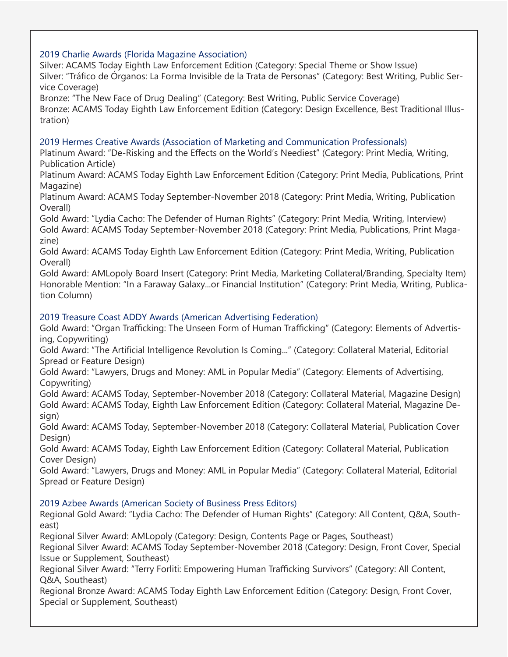# 2019 Charlie Awards (Florida Magazine Association)

Silver: ACAMS Today Eighth Law Enforcement Edition (Category: Special Theme or Show Issue) Silver: "Tráfico de Órganos: La Forma Invisible de la Trata de Personas" (Category: Best Writing, Public Service Coverage)

Bronze: "The New Face of Drug Dealing" (Category: Best Writing, Public Service Coverage) Bronze: ACAMS Today Eighth Law Enforcement Edition (Category: Design Excellence, Best Traditional Illustration)

# 2019 Hermes Creative Awards (Association of Marketing and Communication Professionals)

Platinum Award: "De-Risking and the Effects on the World's Neediest" (Category: Print Media, Writing, Publication Article)

Platinum Award: ACAMS Today Eighth Law Enforcement Edition (Category: Print Media, Publications, Print Magazine)

Platinum Award: ACAMS Today September-November 2018 (Category: Print Media, Writing, Publication Overall)

Gold Award: "Lydia Cacho: The Defender of Human Rights" (Category: Print Media, Writing, Interview) Gold Award: ACAMS Today September-November 2018 (Category: Print Media, Publications, Print Magazine)

Gold Award: ACAMS Today Eighth Law Enforcement Edition (Category: Print Media, Writing, Publication Overall)

Gold Award: AMLopoly Board Insert (Category: Print Media, Marketing Collateral/Branding, Specialty Item) Honorable Mention: "In a Faraway Galaxy...or Financial Institution" (Category: Print Media, Writing, Publication Column)

# 2019 Treasure Coast ADDY Awards (American Advertising Federation)

Gold Award: "Organ Trafficking: The Unseen Form of Human Trafficking" (Category: Elements of Advertising, Copywriting)

Gold Award: "The Artificial Intelligence Revolution Is Coming..." (Category: Collateral Material, Editorial Spread or Feature Design)

Gold Award: "Lawyers, Drugs and Money: AML in Popular Media" (Category: Elements of Advertising, Copywriting)

Gold Award: ACAMS Today, September-November 2018 (Category: Collateral Material, Magazine Design) Gold Award: ACAMS Today, Eighth Law Enforcement Edition (Category: Collateral Material, Magazine Design)

Gold Award: ACAMS Today, September-November 2018 (Category: Collateral Material, Publication Cover Design)

Gold Award: ACAMS Today, Eighth Law Enforcement Edition (Category: Collateral Material, Publication Cover Design)

Gold Award: "Lawyers, Drugs and Money: AML in Popular Media" (Category: Collateral Material, Editorial Spread or Feature Design)

# 2019 Azbee Awards (American Society of Business Press Editors)

Regional Gold Award: "Lydia Cacho: The Defender of Human Rights" (Category: All Content, Q&A, Southeast)

Regional Silver Award: AMLopoly (Category: Design, Contents Page or Pages, Southeast)

Regional Silver Award: ACAMS Today September-November 2018 (Category: Design, Front Cover, Special Issue or Supplement, Southeast)

Regional Silver Award: "Terry Forliti: Empowering Human Trafficking Survivors" (Category: All Content, Q&A, Southeast)

Regional Bronze Award: ACAMS Today Eighth Law Enforcement Edition (Category: Design, Front Cover, Special or Supplement, Southeast)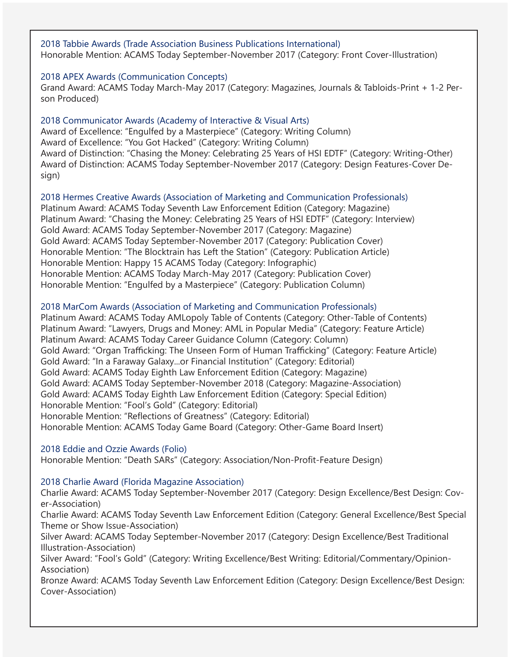2018 Tabbie Awards (Trade Association Business Publications International) Honorable Mention: ACAMS Today September-November 2017 (Category: Front Cover-Illustration)

### 2018 APEX Awards (Communication Concepts)

Grand Award: ACAMS Today March-May 2017 (Category: Magazines, Journals & Tabloids-Print + 1-2 Person Produced)

## 2018 Communicator Awards (Academy of Interactive & Visual Arts)

Award of Excellence: "Engulfed by a Masterpiece" (Category: Writing Column) Award of Excellence: "You Got Hacked" (Category: Writing Column) Award of Distinction: "Chasing the Money: Celebrating 25 Years of HSI EDTF" (Category: Writing-Other) Award of Distinction: ACAMS Today September-November 2017 (Category: Design Features-Cover Design)

#### 2018 Hermes Creative Awards (Association of Marketing and Communication Professionals)

Platinum Award: ACAMS Today Seventh Law Enforcement Edition (Category: Magazine) Platinum Award: "Chasing the Money: Celebrating 25 Years of HSI EDTF" (Category: Interview) Gold Award: ACAMS Today September-November 2017 (Category: Magazine) Gold Award: ACAMS Today September-November 2017 (Category: Publication Cover) Honorable Mention: "The Blocktrain has Left the Station" (Category: Publication Article) Honorable Mention: Happy 15 ACAMS Today (Category: Infographic) Honorable Mention: ACAMS Today March-May 2017 (Category: Publication Cover) Honorable Mention: "Engulfed by a Masterpiece" (Category: Publication Column)

## 2018 MarCom Awards (Association of Marketing and Communication Professionals)

Platinum Award: ACAMS Today AMLopoly Table of Contents (Category: Other-Table of Contents) Platinum Award: "Lawyers, Drugs and Money: AML in Popular Media" (Category: Feature Article) Platinum Award: ACAMS Today Career Guidance Column (Category: Column) Gold Award: "Organ Trafficking: The Unseen Form of Human Trafficking" (Category: Feature Article) Gold Award: "In a Faraway Galaxy...or Financial Institution" (Category: Editorial) Gold Award: ACAMS Today Eighth Law Enforcement Edition (Category: Magazine) Gold Award: ACAMS Today September-November 2018 (Category: Magazine-Association) Gold Award: ACAMS Today Eighth Law Enforcement Edition (Category: Special Edition) Honorable Mention: "Fool's Gold" (Category: Editorial) Honorable Mention: "Reflections of Greatness" (Category: Editorial) Honorable Mention: ACAMS Today Game Board (Category: Other-Game Board Insert)

## 2018 Eddie and Ozzie Awards (Folio)

Honorable Mention: "Death SARs" (Category: Association/Non-Profit-Feature Design)

#### 2018 Charlie Award (Florida Magazine Association)

Charlie Award: ACAMS Today September-November 2017 (Category: Design Excellence/Best Design: Cover-Association)

Charlie Award: ACAMS Today Seventh Law Enforcement Edition (Category: General Excellence/Best Special Theme or Show Issue-Association)

Silver Award: ACAMS Today September-November 2017 (Category: Design Excellence/Best Traditional Illustration-Association)

Silver Award: "Fool's Gold" (Category: Writing Excellence/Best Writing: Editorial/Commentary/Opinion-Association)

Bronze Award: ACAMS Today Seventh Law Enforcement Edition (Category: Design Excellence/Best Design: Cover-Association)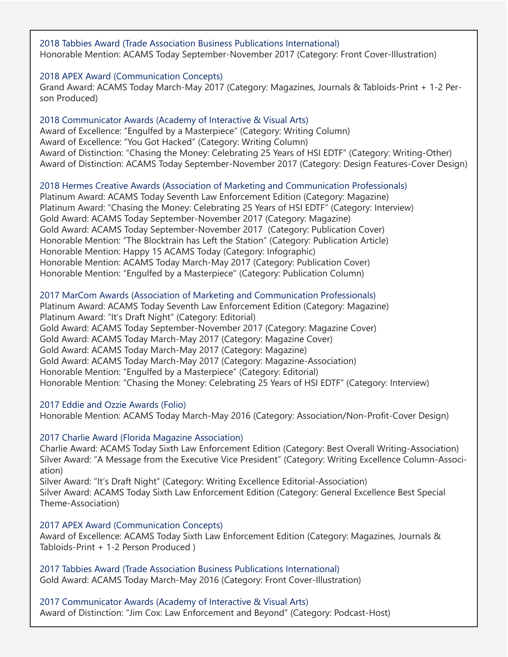2018 Tabbies Award (Trade Association Business Publications International) Honorable Mention: ACAMS Today September-November 2017 (Category: Front Cover-Illustration)

## 2018 APEX Award (Communication Concepts)

Grand Award: ACAMS Today March-May 2017 (Category: Magazines, Journals & Tabloids-Print + 1-2 Person Produced)

2018 Communicator Awards (Academy of Interactive & Visual Arts) Award of Excellence: "Engulfed by a Masterpiece" (Category: Writing Column) Award of Excellence: "You Got Hacked" (Category: Writing Column) Award of Distinction: "Chasing the Money: Celebrating 25 Years of HSI EDTF" (Category: Writing-Other) Award of Distinction: ACAMS Today September-November 2017 (Category: Design Features-Cover Design)

#### 2018 Hermes Creative Awards (Association of Marketing and Communication Professionals)

Platinum Award: ACAMS Today Seventh Law Enforcement Edition (Category: Magazine) Platinum Award: "Chasing the Money: Celebrating 25 Years of HSI EDTF" (Category: Interview) Gold Award: ACAMS Today September-November 2017 (Category: Magazine) Gold Award: ACAMS Today September-November 2017 (Category: Publication Cover) Honorable Mention: "The Blocktrain has Left the Station" (Category: Publication Article) Honorable Mention: Happy 15 ACAMS Today (Category: Infographic) Honorable Mention: ACAMS Today March-May 2017 (Category: Publication Cover) Honorable Mention: "Engulfed by a Masterpiece" (Category: Publication Column)

#### 2017 MarCom Awards (Association of Marketing and Communication Professionals)

Platinum Award: ACAMS Today Seventh Law Enforcement Edition (Category: Magazine) Platinum Award: "It's Draft Night" (Category: Editorial) Gold Award: ACAMS Today September-November 2017 (Category: Magazine Cover) Gold Award: ACAMS Today March-May 2017 (Category: Magazine Cover) Gold Award: ACAMS Today March-May 2017 (Category: Magazine) Gold Award: ACAMS Today March-May 2017 (Category: Magazine-Association) Honorable Mention: "Engulfed by a Masterpiece" (Category: Editorial) Honorable Mention: "Chasing the Money: Celebrating 25 Years of HSI EDTF" (Category: Interview)

#### 2017 Eddie and Ozzie Awards (Folio)

Honorable Mention: ACAMS Today March-May 2016 (Category: Association/Non-Profit-Cover Design)

### 2017 Charlie Award (Florida Magazine Association)

Charlie Award: ACAMS Today Sixth Law Enforcement Edition (Category: Best Overall Writing-Association) Silver Award: "A Message from the Executive Vice President" (Category: Writing Excellence Column-Association)

Silver Award: "It's Draft Night" (Category: Writing Excellence Editorial-Association) Silver Award: ACAMS Today Sixth Law Enforcement Edition (Category: General Excellence Best Special Theme-Association)

#### 2017 APEX Award (Communication Concepts)

Award of Excellence: ACAMS Today Sixth Law Enforcement Edition (Category: Magazines, Journals & Tabloids-Print + 1-2 Person Produced )

2017 Tabbies Award (Trade Association Business Publications International) Gold Award: ACAMS Today March-May 2016 (Category: Front Cover-Illustration)

2017 Communicator Awards (Academy of Interactive & Visual Arts) Award of Distinction: "Jim Cox: Law Enforcement and Beyond" (Category: Podcast-Host)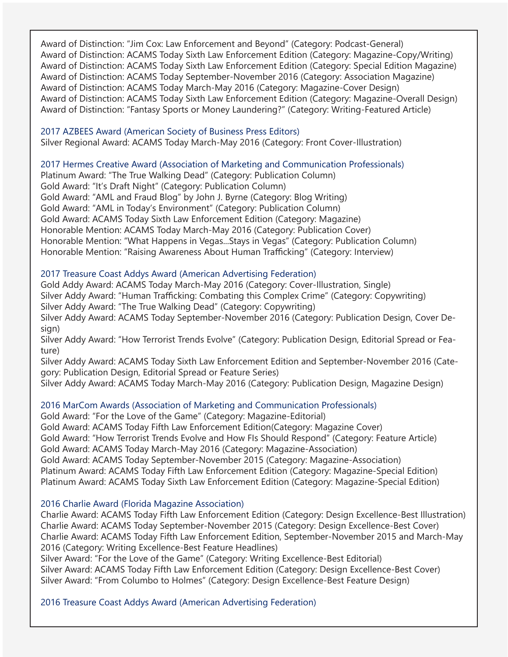Award of Distinction: "Jim Cox: Law Enforcement and Beyond" (Category: Podcast-General) Award of Distinction: ACAMS Today Sixth Law Enforcement Edition (Category: Magazine-Copy/Writing) Award of Distinction: ACAMS Today Sixth Law Enforcement Edition (Category: Special Edition Magazine) Award of Distinction: ACAMS Today September-November 2016 (Category: Association Magazine) Award of Distinction: ACAMS Today March-May 2016 (Category: Magazine-Cover Design) Award of Distinction: ACAMS Today Sixth Law Enforcement Edition (Category: Magazine-Overall Design) Award of Distinction: "Fantasy Sports or Money Laundering?" (Category: Writing-Featured Article)

2017 AZBEES Award (American Society of Business Press Editors) Silver Regional Award: ACAMS Today March-May 2016 (Category: Front Cover-Illustration)

# 2017 Hermes Creative Award (Association of Marketing and Communication Professionals)

Platinum Award: "The True Walking Dead" (Category: Publication Column) Gold Award: "It's Draft Night" (Category: Publication Column) Gold Award: "AML and Fraud Blog" by John J. Byrne (Category: Blog Writing) Gold Award: "AML in Today's Environment" (Category: Publication Column) Gold Award: ACAMS Today Sixth Law Enforcement Edition (Category: Magazine) Honorable Mention: ACAMS Today March-May 2016 (Category: Publication Cover) Honorable Mention: "What Happens in Vegas...Stays in Vegas" (Category: Publication Column) Honorable Mention: "Raising Awareness About Human Trafficking" (Category: Interview)

# 2017 Treasure Coast Addys Award (American Advertising Federation)

Gold Addy Award: ACAMS Today March-May 2016 (Category: Cover-Illustration, Single) Silver Addy Award: "Human Trafficking: Combating this Complex Crime" (Category: Copywriting) Silver Addy Award: "The True Walking Dead" (Category: Copywriting) Silver Addy Award: ACAMS Today September-November 2016 (Category: Publication Design, Cover Design) Silver Addy Award: "How Terrorist Trends Evolve" (Category: Publication Design, Editorial Spread or Feature)

Silver Addy Award: ACAMS Today Sixth Law Enforcement Edition and September-November 2016 (Category: Publication Design, Editorial Spread or Feature Series)

Silver Addy Award: ACAMS Today March-May 2016 (Category: Publication Design, Magazine Design)

# 2016 MarCom Awards (Association of Marketing and Communication Professionals)

Gold Award: "For the Love of the Game" (Category: Magazine-Editorial) Gold Award: ACAMS Today Fifth Law Enforcement Edition(Category: Magazine Cover) Gold Award: "How Terrorist Trends Evolve and How FIs Should Respond" (Category: Feature Article) Gold Award: ACAMS Today March-May 2016 (Category: Magazine-Association) Gold Award: ACAMS Today September-November 2015 (Category: Magazine-Association) Platinum Award: ACAMS Today Fifth Law Enforcement Edition (Category: Magazine-Special Edition) Platinum Award: ACAMS Today Sixth Law Enforcement Edition (Category: Magazine-Special Edition)

## 2016 Charlie Award (Florida Magazine Association)

Charlie Award: ACAMS Today Fifth Law Enforcement Edition (Category: Design Excellence-Best Illustration) Charlie Award: ACAMS Today September-November 2015 (Category: Design Excellence-Best Cover) Charlie Award: ACAMS Today Fifth Law Enforcement Edition, September-November 2015 and March-May 2016 (Category: Writing Excellence-Best Feature Headlines)

Silver Award: "For the Love of the Game" (Category: Writing Excellence-Best Editorial) Silver Award: ACAMS Today Fifth Law Enforcement Edition (Category: Design Excellence-Best Cover) Silver Award: "From Columbo to Holmes" (Category: Design Excellence-Best Feature Design)

2016 Treasure Coast Addys Award (American Advertising Federation)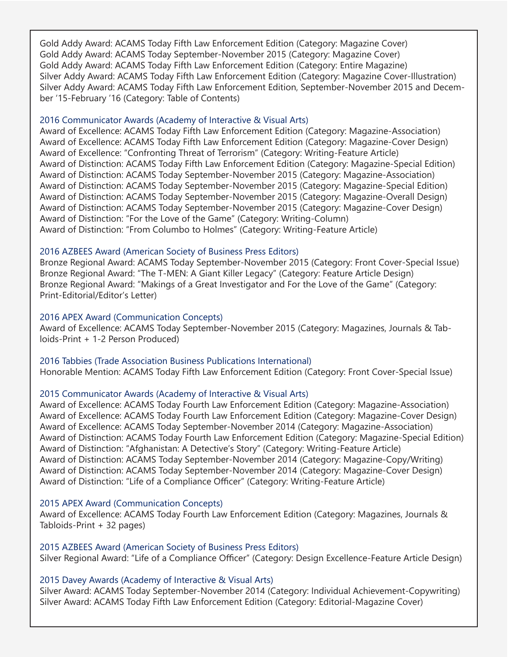Gold Addy Award: ACAMS Today Fifth Law Enforcement Edition (Category: Magazine Cover) Gold Addy Award: ACAMS Today September-November 2015 (Category: Magazine Cover) Gold Addy Award: ACAMS Today Fifth Law Enforcement Edition (Category: Entire Magazine) Silver Addy Award: ACAMS Today Fifth Law Enforcement Edition (Category: Magazine Cover-Illustration) Silver Addy Award: ACAMS Today Fifth Law Enforcement Edition, September-November 2015 and December '15-February '16 (Category: Table of Contents)

#### 2016 Communicator Awards (Academy of Interactive & Visual Arts)

Award of Excellence: ACAMS Today Fifth Law Enforcement Edition (Category: Magazine-Association) Award of Excellence: ACAMS Today Fifth Law Enforcement Edition (Category: Magazine-Cover Design) Award of Excellence: "Confronting Threat of Terrorism" (Category: Writing-Feature Article) Award of Distinction: ACAMS Today Fifth Law Enforcement Edition (Category: Magazine-Special Edition) Award of Distinction: ACAMS Today September-November 2015 (Category: Magazine-Association) Award of Distinction: ACAMS Today September-November 2015 (Category: Magazine-Special Edition) Award of Distinction: ACAMS Today September-November 2015 (Category: Magazine-Overall Design) Award of Distinction: ACAMS Today September-November 2015 (Category: Magazine-Cover Design) Award of Distinction: "For the Love of the Game" (Category: Writing-Column) Award of Distinction: "From Columbo to Holmes" (Category: Writing-Feature Article)

## 2016 AZBEES Award (American Society of Business Press Editors)

Bronze Regional Award: ACAMS Today September-November 2015 (Category: Front Cover-Special Issue) Bronze Regional Award: "The T-MEN: A Giant Killer Legacy" (Category: Feature Article Design) Bronze Regional Award: "Makings of a Great Investigator and For the Love of the Game" (Category: Print-Editorial/Editor's Letter)

## 2016 APEX Award (Communication Concepts)

Award of Excellence: ACAMS Today September-November 2015 (Category: Magazines, Journals & Tabloids-Print + 1-2 Person Produced)

2016 Tabbies (Trade Association Business Publications International) Honorable Mention: ACAMS Today Fifth Law Enforcement Edition (Category: Front Cover-Special Issue)

## 2015 Communicator Awards (Academy of Interactive & Visual Arts)

Award of Excellence: ACAMS Today Fourth Law Enforcement Edition (Category: Magazine-Association) Award of Excellence: ACAMS Today Fourth Law Enforcement Edition (Category: Magazine-Cover Design) Award of Excellence: ACAMS Today September-November 2014 (Category: Magazine-Association) Award of Distinction: ACAMS Today Fourth Law Enforcement Edition (Category: Magazine-Special Edition) Award of Distinction: "Afghanistan: A Detective's Story" (Category: Writing-Feature Article) Award of Distinction: ACAMS Today September-November 2014 (Category: Magazine-Copy/Writing) Award of Distinction: ACAMS Today September-November 2014 (Category: Magazine-Cover Design) Award of Distinction: "Life of a Compliance Officer" (Category: Writing-Feature Article)

## 2015 APEX Award (Communication Concepts)

Award of Excellence: ACAMS Today Fourth Law Enforcement Edition (Category: Magazines, Journals & Tabloids-Print + 32 pages)

## 2015 AZBEES Award (American Society of Business Press Editors)

Silver Regional Award: "Life of a Compliance Officer" (Category: Design Excellence-Feature Article Design)

## 2015 Davey Awards (Academy of Interactive & Visual Arts)

Silver Award: ACAMS Today September-November 2014 (Category: Individual Achievement-Copywriting) Silver Award: ACAMS Today Fifth Law Enforcement Edition (Category: Editorial-Magazine Cover)